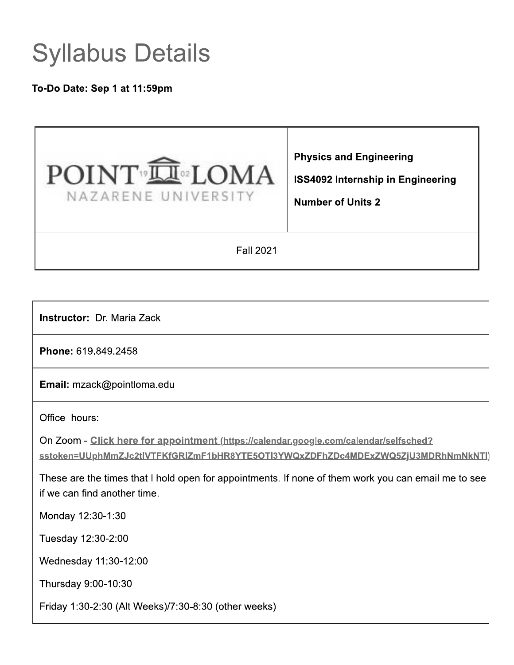# **Syllabus Details**

To-Do Date: Sep 1 at 11:59pm



**Instructor: Dr. Maria Zack** 

Phone: 619.849.2458

Email: mzack@pointloma.edu

Office hours:

On Zoom - Click here for appointment (https://calendar.google.com/calendar/selfsched? sstoken=UUphMmZJc2tIVTFKfGRIZmF1bHR8YTE5OTI3YWQxZDFhZDc4MDExZWQ5ZjU3MDRhNmNkNTI)

These are the times that I hold open for appointments. If none of them work you can email me to see if we can find another time.

Monday 12:30-1:30

Tuesday 12:30-2:00

Wednesday 11:30-12:00

Thursday 9:00-10:30

Friday 1:30-2:30 (Alt Weeks)/7:30-8:30 (other weeks)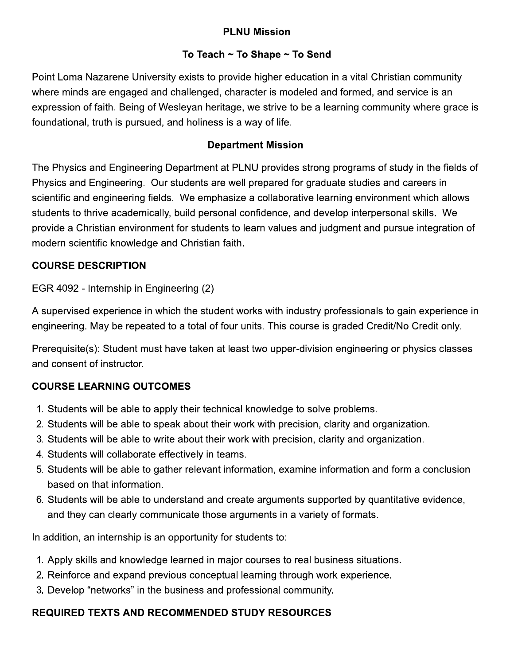# **PLNU Mission**

### To Teach  $\sim$  To Shape  $\sim$  To Send

Point Loma Nazarene University exists to provide higher education in a vital Christian community where minds are engaged and challenged, character is modeled and formed, and service is an expression of faith. Being of Wesleyan heritage, we strive to be a learning community where grace is foundational, truth is pursued, and holiness is a way of life.

#### **Department Mission**

The Physics and Engineering Department at PLNU provides strong programs of study in the fields of Physics and Engineering. Our students are well prepared for graduate studies and careers in scientific and engineering fields. We emphasize a collaborative learning environment which allows students to thrive academically, build personal confidence, and develop interpersonal skills. We provide a Christian environment for students to learn values and judgment and pursue integration of modern scientific knowledge and Christian faith.

#### **COURSE DESCRIPTION**

EGR 4092 - Internship in Engineering (2)

A supervised experience in which the student works with industry professionals to gain experience in engineering. May be repeated to a total of four units. This course is graded Credit/No Credit only.

Prerequisite(s): Student must have taken at least two upper-division engineering or physics classes and consent of instructor.

### **COURSE LEARNING OUTCOMES**

- 1. Students will be able to apply their technical knowledge to solve problems.
- 2. Students will be able to speak about their work with precision, clarity and organization.
- 3. Students will be able to write about their work with precision, clarity and organization.
- 4. Students will collaborate effectively in teams.
- 5. Students will be able to gather relevant information, examine information and form a conclusion based on that information.
- 6. Students will be able to understand and create arguments supported by quantitative evidence, and they can clearly communicate those arguments in a variety of formats.

In addition, an internship is an opportunity for students to:

- 1. Apply skills and knowledge learned in major courses to real business situations.
- 2. Reinforce and expand previous conceptual learning through work experience.
- 3. Develop "networks" in the business and professional community.

# **REQUIRED TEXTS AND RECOMMENDED STUDY RESOURCES**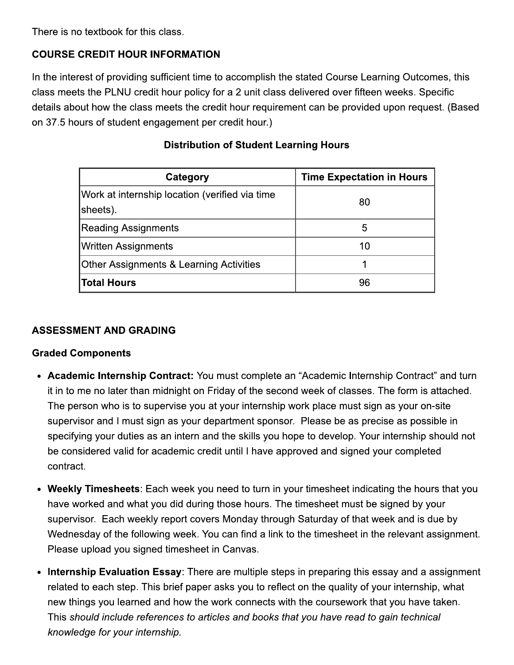There is no textbook for this class.

#### **COURSE CREDIT HOUR INFORMATION**

In the interest of providing sufficient time to accomplish the stated Course Learning Outcomes, this class meets the PLNU credit hour policy for a 2 unit class delivered over fifteen weeks. Specific details about how the class meets the credit hour requirement can be provided upon request. (Based on 37.5 hours of student engagement per credit hour.)

| Category                                                   | <b>Time Expectation in Hours</b> |
|------------------------------------------------------------|----------------------------------|
| Work at internship location (verified via time<br>sheets). | 80                               |
| Reading Assignments                                        | 5                                |
| Written Assignments                                        | 10                               |
| <b>Other Assignments &amp; Learning Activities</b>         |                                  |
| <b>Total Hours</b>                                         | 96                               |

#### **Distribution of Student Learning Hours**

#### **ASSESSMENT AND GRADING**

#### **Graded Components**

- Academic Internship Contract: You must complete an "Academic Internship Contract" and turn it in to me no later than midnight on Friday of the second week of classes. The form is attached. The person who is to supervise you at your internship work place must sign as your on-site supervisor and I must sign as your department sponsor. Please be as precise as possible in specifying your duties as an intern and the skills you hope to develop. Your internship should not be considered valid for academic credit until I have approved and signed your completed contract.
- Weekly Timesheets: Each week you need to turn in your timesheet indicating the hours that you have worked and what you did during those hours. The timesheet must be signed by your supervisor. Each weekly report covers Monday through Saturday of that week and is due by Wednesday of the following week. You can find a link to the timesheet in the relevant assignment. Please upload you signed timesheet in Canvas.
- Internship Evaluation Essay: There are multiple steps in preparing this essay and a assignment related to each step. This brief paper asks you to reflect on the quality of your internship, what new things you learned and how the work connects with the coursework that you have taken. This should include references to articles and books that you have read to gain technical knowledge for your internship.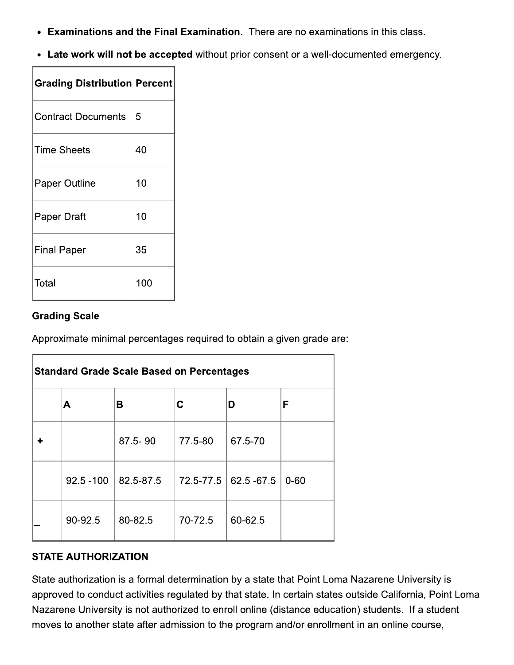• Examinations and the Final Examination. There are no examinations in this class.

 $\overline{\phantom{a}}$ 

• Late work will not be accepted without prior consent or a well-documented emergency.

| <b>Grading Distribution Percent</b> |     |
|-------------------------------------|-----|
| <b>Contract Documents</b>           | 5   |
| <b>Time Sheets</b>                  | 40  |
| <b>Paper Outline</b>                | 10  |
| Paper Draft                         | 10  |
| <b>Final Paper</b>                  | 35  |
| Total                               | 100 |

#### **Grading Scale**

F

Approximate minimal percentages required to obtain a given grade are:

| <b>Standard Grade Scale Based on Percentages</b> |              |             |           |             |          |
|--------------------------------------------------|--------------|-------------|-----------|-------------|----------|
|                                                  | Α            | в           | С         | D           | F        |
|                                                  |              | $87.5 - 90$ | 77.5-80   | 67.5-70     |          |
|                                                  | $92.5 - 100$ | 82.5-87.5   | 72.5-77.5 | 62.5 - 67.5 | $0 - 60$ |
|                                                  | 90-92.5      | 80-82.5     | 70-72.5   | 60-62.5     |          |

#### **STATE AUTHORIZATION**

State authorization is a formal determination by a state that Point Loma Nazarene University is approved to conduct activities regulated by that state. In certain states outside California, Point Loma Nazarene University is not authorized to enroll online (distance education) students. If a student moves to another state after admission to the program and/or enrollment in an online course,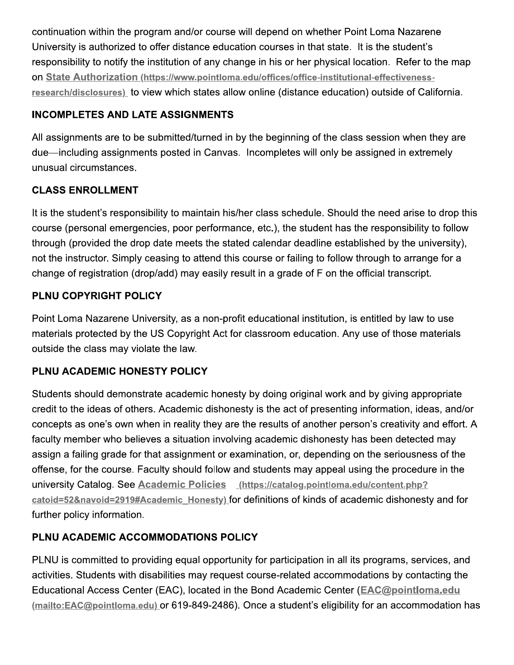continuation within the program and/or course will depend on whether Point Loma Nazarene University is authorized to offer distance education courses in that state. It is the student's responsibility to notify the institution of any change in his or her physical location. Refer to the map on State Authorization (https://www.pointloma.edu/offices/office-institutional-effectivenessresearch/disclosures) to view which states allow online (distance education) outside of California.

# **INCOMPLETES AND LATE ASSIGNMENTS**

All assignments are to be submitted/turned in by the beginning of the class session when they are due—including assignments posted in Canvas. Incompletes will only be assigned in extremely unusual circumstances.

# **CLASS ENROLLMENT**

It is the student's responsibility to maintain his/her class schedule. Should the need arise to drop this course (personal emergencies, poor performance, etc.), the student has the responsibility to follow through (provided the drop date meets the stated calendar deadline established by the university), not the instructor. Simply ceasing to attend this course or failing to follow through to arrange for a change of registration (drop/add) may easily result in a grade of F on the official transcript.

# PLNU COPYRIGHT POLICY

Point Loma Nazarene University, as a non-profit educational institution, is entitled by law to use materials protected by the US Copyright Act for classroom education. Any use of those materials outside the class may violate the law.

# PLNU ACADEMIC HONESTY POLICY

Students should demonstrate academic honesty by doing original work and by giving appropriate credit to the ideas of others. Academic dishonesty is the act of presenting information, ideas, and/or concepts as one's own when in reality they are the results of another person's creativity and effort. A faculty member who believes a situation involving academic dishonesty has been detected may assign a failing grade for that assignment or examination, or, depending on the seriousness of the offense, for the course. Faculty should follow and students may appeal using the procedure in the university Catalog. See Academic Policies (https://catalog.pointloma.edu/content.php? catoid=52&navoid=2919#Academic Honesty) for definitions of kinds of academic dishonesty and for further policy information.

### PLNU ACADEMIC ACCOMMODATIONS POLICY

PLNU is committed to providing equal opportunity for participation in all its programs, services, and activities. Students with disabilities may request course-related accommodations by contacting the Educational Access Center (EAC), located in the Bond Academic Center (EAC@pointloma.edu (mailto:EAC@pointloma.edu) or 619-849-2486). Once a student's eligibility for an accommodation has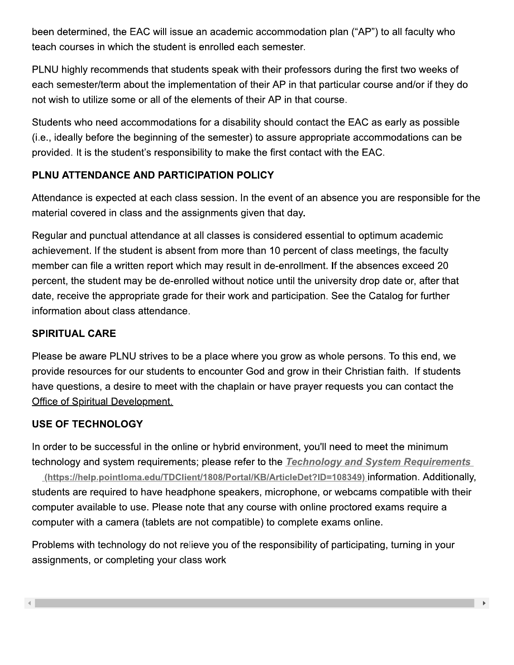been determined, the EAC will issue an academic accommodation plan ("AP") to all faculty who teach courses in which the student is enrolled each semester.

PLNU highly recommends that students speak with their professors during the first two weeks of each semester/term about the implementation of their AP in that particular course and/or if they do not wish to utilize some or all of the elements of their AP in that course.

Students who need accommodations for a disability should contact the EAC as early as possible (i.e., ideally before the beginning of the semester) to assure appropriate accommodations can be provided. It is the student's responsibility to make the first contact with the EAC.

### PLNU ATTENDANCE AND PARTICIPATION POLICY

Attendance is expected at each class session. In the event of an absence you are responsible for the material covered in class and the assignments given that day.

Regular and punctual attendance at all classes is considered essential to optimum academic achievement. If the student is absent from more than 10 percent of class meetings, the faculty member can file a written report which may result in de-enrollment. If the absences exceed 20 percent, the student may be de-enrolled without notice until the university drop date or, after that date, receive the appropriate grade for their work and participation. See the Catalog for further information about class attendance.

### **SPIRITUAL CARE**

Please be aware PLNU strives to be a place where you grow as whole persons. To this end, we provide resources for our students to encounter God and grow in their Christian faith. If students have questions, a desire to meet with the chaplain or have prayer requests you can contact the Office of Spiritual Development.

### **USE OF TECHNOLOGY**

In order to be successful in the online or hybrid environment, you'll need to meet the minimum technology and system requirements; please refer to the Technology and System Requirements (https://help.pointloma.edu/TDClient/1808/Portal/KB/ArticleDet?ID=108349) information. Additionally, students are required to have headphone speakers, microphone, or webcams compatible with their computer available to use. Please note that any course with online proctored exams require a computer with a camera (tablets are not compatible) to complete exams online.

Problems with technology do not relieve you of the responsibility of participating, turning in your assignments, or completing your class work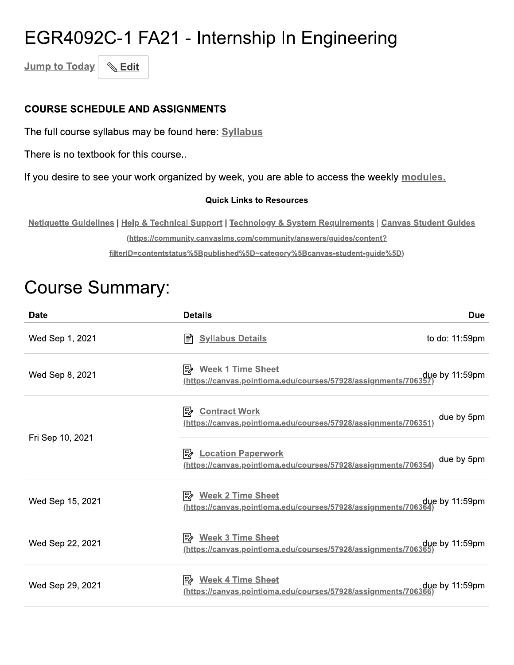# EGR4092C-1 FA21 - Internship In Engineering

**Jump to Today & Edit** 

#### **COURSE SCHEDULE AND ASSIGNMENTS**

The full course syllabus may be found here: Syllabus

There is no textbook for this course..

If you desire to see your work organized by week, you are able to access the weekly modules.

#### **Quick Links to Resources**

Netiquette Guidelines | Help & Technical Support | Technology & System Requirements | Canvas Student Guides (https://community.canvaslms.com/community/answers/guides/content? filterID=contentstatus%5Bpublished%5D~category%5Bcanvas-student-guide%5D)

# **Course Summary:**

| <b>Date</b>      | <b>Details</b>                                                                                                | Due                 |
|------------------|---------------------------------------------------------------------------------------------------------------|---------------------|
| Wed Sep 1, 2021  | <b>Syllabus Details</b><br>I≣ì                                                                                | to do: 11:59pm      |
| Wed Sep 8, 2021  | <b>B</b> Week 1 Time Sheet<br>due by 11:59pm.//https://canvas.pointloma.edu/courses/57928/assignments/706357/ |                     |
|                  | Pγ<br><b>Contract Work</b><br>https://canvas.pointloma.edu/courses/57928/assignments/706351)                  | due by 5pm          |
| Fri Sep 10, 2021 | <b>B</b> Location Paperwork<br>(https://canvas.pointloma.edu/courses/57928/assignments/706354)                | due by 5pm          |
| Wed Sep 15, 2021 | Week 2 Time Sheet<br>https://canvas.pointloma.edu/courses/57928/assignments/706364                            | due by 11:59pm      |
| Wed Sep 22, 2021 | <b>B</b> Week 3 Time Sheet<br><u>(https://canvas.pointloma.edu/courses/57928/assignments/706365)</u>          | due by 11:59pm      |
| Wed Sep 29, 2021 | <b>Week 4 Time Sheet</b><br>।⋽≽<br><u>(https://canvas.pointloma.edu/courses/57928/assignments/706366)</u>     | $due$ by $11:59$ pm |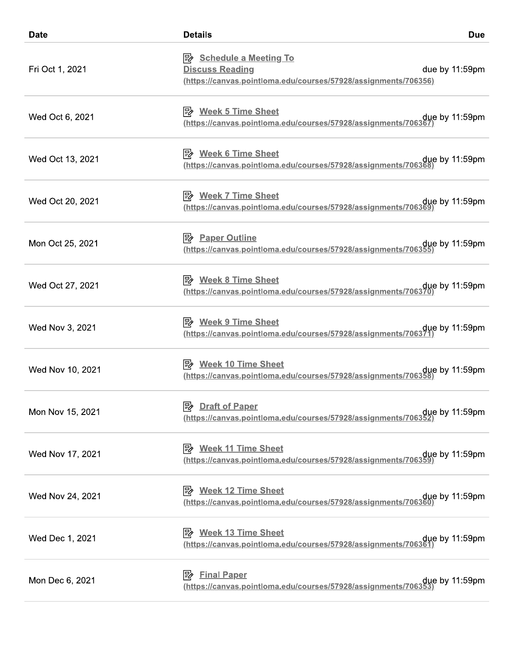| <b>Date</b>      | <b>Details</b>                                                                                                              | <b>Due</b>     |
|------------------|-----------------------------------------------------------------------------------------------------------------------------|----------------|
| Fri Oct 1, 2021  | <b>B</b> Schedule a Meeting To<br><b>Discuss Reading</b><br>(https://canvas.pointloma.edu/courses/57928/assignments/706356) | due by 11:59pm |
| Wed Oct 6, 2021  | <b>B</b> Week 5 Time Sheet<br><u>(https://canvas.pointloma.edu/courses/57928/assignments/706367</u>                         | due by 11:59pm |
| Wed Oct 13, 2021 | P <sup>2</sup> Week 6 Time Sheet<br>due by 11:59pm (https://canvas.pointloma.edu/courses/57928/assignments/706368)          |                |
| Wed Oct 20, 2021 | <b>B</b> Week 7 Time Sheet<br>due by 11:59pm.//https://canvas.pointloma.edu/courses/57928/assignments/706369.               |                |
| Mon Oct 25, 2021 | <b>B</b> Paper Outline<br>(https://canvas.pointloma.edu/courses/57928/assignments/706355                                    | due by 11:59pm |
| Wed Oct 27, 2021 | <b>B</b> Week 8 Time Sheet<br>due by 11:59pm.//https://canvas.pointloma.edu/courses/57928/assignments/706370.               |                |
| Wed Nov 3, 2021  | <b>B</b> Week 9 Time Sheet<br>due by 11:59pm (https://canvas.pointloma.edu/courses/57928/assignments/706371)                |                |
| Wed Nov 10, 2021 | <u> <i>Week 10 Time Sheet</i></u><br><u>(https://canvas.pointloma.edu/courses/57928/assignments/706358)</u>                 | due by 11:59pm |
| Mon Nov 15, 2021 | <b>B</b> Draft of Paper<br>due by 11:59pm (https://canvas.pointloma.edu/courses/57928/assignments/706352)                   |                |
| Wed Nov 17, 2021 | <b>B</b> Week 11 Time Sheet<br>due by 11:59pm (https://canvas.pointloma.edu/courses/57928/assignments/706359)               |                |
| Wed Nov 24, 2021 | <b>Week 12 Time Sheet</b><br>  "∕<br>due by 11:59pm.//https://canvas.pointloma.edu/courses/57928/assignments/706360         |                |
| Wed Dec 1, 2021  | P <sup>2</sup> Week 13 Time Sheet<br>due by 11:59pm.//https://canvas.pointloma.edu/courses/57928/assignments/706361/        |                |
| Mon Dec 6, 2021  | <b>Final Paper</b><br> ≓ ∕<br>due by 11:59pm (https://canvas.pointloma.edu/courses/57928/assignments/706353)                |                |